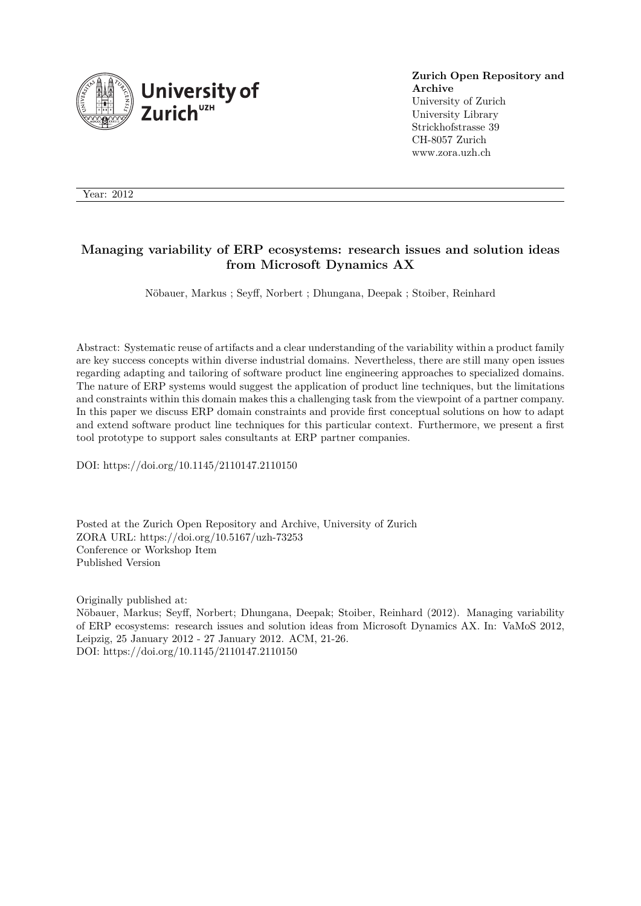

**Zurich Open Repository and Archive** University of Zurich University Library Strickhofstrasse 39 CH-8057 Zurich www.zora.uzh.ch

Year: 2012

## **Managing variability of ERP ecosystems: research issues and solution ideas from Microsoft Dynamics AX**

Nöbauer, Markus ; Seyff, Norbert ; Dhungana, Deepak ; Stoiber, Reinhard

Abstract: Systematic reuse of artifacts and a clear understanding of the variability within a product family are key success concepts within diverse industrial domains. Nevertheless, there are still many open issues regarding adapting and tailoring of software product line engineering approaches to specialized domains. The nature of ERP systems would suggest the application of product line techniques, but the limitations and constraints within this domain makes this a challenging task from the viewpoint of a partner company. In this paper we discuss ERP domain constraints and provide first conceptual solutions on how to adapt and extend software product line techniques for this particular context. Furthermore, we present a first tool prototype to support sales consultants at ERP partner companies.

DOI: https://doi.org/10.1145/2110147.2110150

Posted at the Zurich Open Repository and Archive, University of Zurich ZORA URL: https://doi.org/10.5167/uzh-73253 Conference or Workshop Item Published Version

Originally published at:

Nöbauer, Markus; Seyff, Norbert; Dhungana, Deepak; Stoiber, Reinhard (2012). Managing variability of ERP ecosystems: research issues and solution ideas from Microsoft Dynamics AX. In: VaMoS 2012, Leipzig, 25 January 2012 - 27 January 2012. ACM, 21-26. DOI: https://doi.org/10.1145/2110147.2110150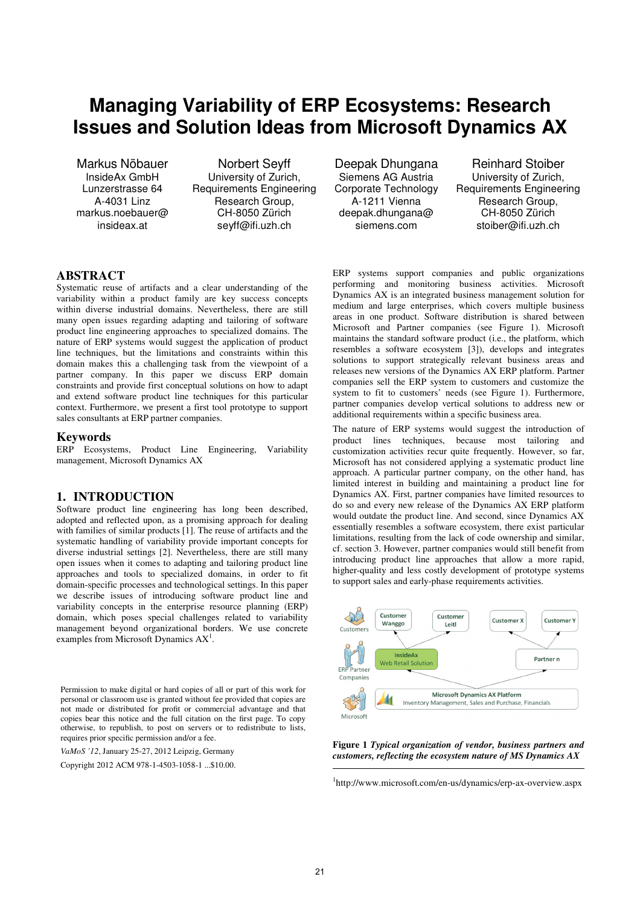# **Managing Variability of ERP Ecosystems: Research Issues and Solution Ideas from Microsoft Dynamics AX**

Markus Nöbauer InsideAx GmbH Lunzerstrasse 64 A-4031 Linz markus.noebauer@ insideax.at

Norbert Seyff University of Zurich, Requirements Engineering Research Group, CH-8050 Zürich seyff@ifi.uzh.ch

Deepak Dhungana Siemens AG Austria Corporate Technology A-1211 Vienna deepak.dhungana@ siemens.com

Reinhard Stoiber University of Zurich, Requirements Engineering Research Group, CH-8050 Zürich stoiber@ifi.uzh.ch

## **ABSTRACT**

Systematic reuse of artifacts and a clear understanding of the variability within a product family are key success concepts within diverse industrial domains. Nevertheless, there are still many open issues regarding adapting and tailoring of software product line engineering approaches to specialized domains. The nature of ERP systems would suggest the application of product line techniques, but the limitations and constraints within this domain makes this a challenging task from the viewpoint of a partner company. In this paper we discuss ERP domain constraints and provide first conceptual solutions on how to adapt and extend software product line techniques for this particular context. Furthermore, we present a first tool prototype to support sales consultants at ERP partner companies.

#### **Keywords**

ERP Ecosystems, Product Line Engineering, Variability management, Microsoft Dynamics AX

#### **1. INTRODUCTION**

Software product line engineering has long been described, adopted and reflected upon, as a promising approach for dealing with families of similar products [1]. The reuse of artifacts and the systematic handling of variability provide important concepts for diverse industrial settings [2]. Nevertheless, there are still many open issues when it comes to adapting and tailoring product line approaches and tools to specialized domains, in order to fit domain-specific processes and technological settings. In this paper we describe issues of introducing software product line and variability concepts in the enterprise resource planning (ERP) domain, which poses special challenges related to variability management beyond organizational borders. We use concrete examples from Microsoft Dynamics AX<sup>1</sup>.

Permission to make digital or hard copies of all or part of this work for personal or classroom use is granted without fee provided that copies are not made or distributed for profit or commercial advantage and that copies bear this notice and the full citation on the first page. To copy otherwise, to republish, to post on servers or to redistribute to lists, requires prior specific permission and/or a fee.

*VaMoS '12*, January 25-27, 2012 Leipzig, Germany

Copyright 2012 ACM 978-1-4503-1058-1 ...\$10.00.

ERP systems support companies and public organizations performing and monitoring business activities. Microsoft Dynamics AX is an integrated business management solution for medium and large enterprises, which covers multiple business areas in one product. Software distribution is shared between Microsoft and Partner companies (see Figure 1). Microsoft maintains the standard software product (i.e., the platform, which resembles a software ecosystem [3]), develops and integrates solutions to support strategically relevant business areas and releases new versions of the Dynamics AX ERP platform. Partner companies sell the ERP system to customers and customize the system to fit to customers' needs (see Figure 1). Furthermore, partner companies develop vertical solutions to address new or additional requirements within a specific business area.

The nature of ERP systems would suggest the introduction of product lines techniques, because most tailoring and customization activities recur quite frequently. However, so far, Microsoft has not considered applying a systematic product line approach. A particular partner company, on the other hand, has limited interest in building and maintaining a product line for Dynamics AX. First, partner companies have limited resources to do so and every new release of the Dynamics AX ERP platform would outdate the product line. And second, since Dynamics AX essentially resembles a software ecosystem, there exist particular limitations, resulting from the lack of code ownership and similar, cf. section 3. However, partner companies would still benefit from introducing product line approaches that allow a more rapid, higher-quality and less costly development of prototype systems to support sales and early-phase requirements activities.



**Figure 1** *Typical organization of vendor, business partners and customers, reflecting the ecosystem nature of MS Dynamics AX*

1 http://www.microsoft.com/en-us/dynamics/erp-ax-overview.aspx

 $\overline{a}$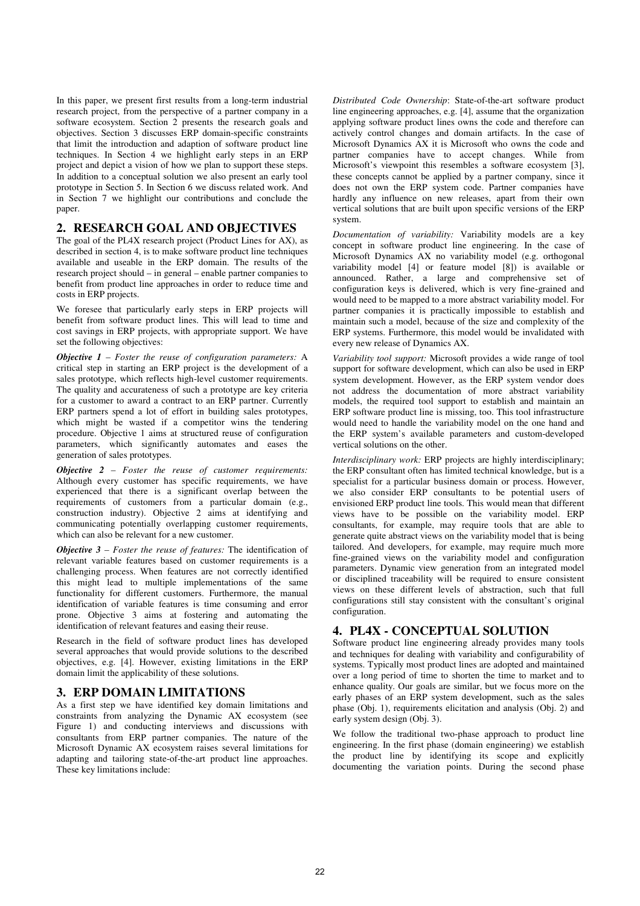In this paper, we present first results from a long-term industrial research project, from the perspective of a partner company in a software ecosystem. Section 2 presents the research goals and objectives. Section 3 discusses ERP domain-specific constraints that limit the introduction and adaption of software product line techniques. In Section 4 we highlight early steps in an ERP project and depict a vision of how we plan to support these steps. In addition to a conceptual solution we also present an early tool prototype in Section 5. In Section 6 we discuss related work. And in Section 7 we highlight our contributions and conclude the paper.

## **2. RESEARCH GOAL AND OBJECTIVES**

The goal of the PL4X research project (Product Lines for AX), as described in section 4, is to make software product line techniques available and useable in the ERP domain. The results of the research project should – in general – enable partner companies to benefit from product line approaches in order to reduce time and costs in ERP projects.

We foresee that particularly early steps in ERP projects will benefit from software product lines. This will lead to time and cost savings in ERP projects, with appropriate support. We have set the following objectives:

*Objective 1 – Foster the reuse of configuration parameters:* A critical step in starting an ERP project is the development of a sales prototype, which reflects high-level customer requirements. The quality and accurateness of such a prototype are key criteria for a customer to award a contract to an ERP partner. Currently ERP partners spend a lot of effort in building sales prototypes, which might be wasted if a competitor wins the tendering procedure. Objective 1 aims at structured reuse of configuration parameters, which significantly automates and eases the generation of sales prototypes.

*Objective 2 – Foster the reuse of customer requirements:*  Although every customer has specific requirements, we have experienced that there is a significant overlap between the requirements of customers from a particular domain (e.g., construction industry). Objective 2 aims at identifying and communicating potentially overlapping customer requirements, which can also be relevant for a new customer.

*Objective 3 – Foster the reuse of features:* The identification of relevant variable features based on customer requirements is a challenging process. When features are not correctly identified this might lead to multiple implementations of the same functionality for different customers. Furthermore, the manual identification of variable features is time consuming and error prone. Objective 3 aims at fostering and automating the identification of relevant features and easing their reuse.

Research in the field of software product lines has developed several approaches that would provide solutions to the described objectives, e.g. [4]. However, existing limitations in the ERP domain limit the applicability of these solutions.

## **3. ERP DOMAIN LIMITATIONS**

As a first step we have identified key domain limitations and constraints from analyzing the Dynamic AX ecosystem (see Figure 1) and conducting interviews and discussions with consultants from ERP partner companies. The nature of the Microsoft Dynamic AX ecosystem raises several limitations for adapting and tailoring state-of-the-art product line approaches. These key limitations include:

*Distributed Code Ownership*: State-of-the-art software product line engineering approaches, e.g. [4], assume that the organization applying software product lines owns the code and therefore can actively control changes and domain artifacts. In the case of Microsoft Dynamics AX it is Microsoft who owns the code and partner companies have to accept changes. While from Microsoft's viewpoint this resembles a software ecosystem [3], these concepts cannot be applied by a partner company, since it does not own the ERP system code. Partner companies have hardly any influence on new releases, apart from their own vertical solutions that are built upon specific versions of the ERP system.

*Documentation of variability:* Variability models are a key concept in software product line engineering. In the case of Microsoft Dynamics AX no variability model (e.g. orthogonal variability model [4] or feature model [8]) is available or announced. Rather, a large and comprehensive set of configuration keys is delivered, which is very fine-grained and would need to be mapped to a more abstract variability model. For partner companies it is practically impossible to establish and maintain such a model, because of the size and complexity of the ERP systems. Furthermore, this model would be invalidated with every new release of Dynamics AX.

*Variability tool support:* Microsoft provides a wide range of tool support for software development, which can also be used in ERP system development. However, as the ERP system vendor does not address the documentation of more abstract variability models, the required tool support to establish and maintain an ERP software product line is missing, too. This tool infrastructure would need to handle the variability model on the one hand and the ERP system's available parameters and custom-developed vertical solutions on the other.

*Interdisciplinary work:* ERP projects are highly interdisciplinary; the ERP consultant often has limited technical knowledge, but is a specialist for a particular business domain or process. However, we also consider ERP consultants to be potential users of envisioned ERP product line tools. This would mean that different views have to be possible on the variability model. ERP consultants, for example, may require tools that are able to generate quite abstract views on the variability model that is being tailored. And developers, for example, may require much more fine-grained views on the variability model and configuration parameters. Dynamic view generation from an integrated model or disciplined traceability will be required to ensure consistent views on these different levels of abstraction, such that full configurations still stay consistent with the consultant's original configuration.

## **4. PL4X - CONCEPTUAL SOLUTION**

Software product line engineering already provides many tools and techniques for dealing with variability and configurability of systems. Typically most product lines are adopted and maintained over a long period of time to shorten the time to market and to enhance quality. Our goals are similar, but we focus more on the early phases of an ERP system development, such as the sales phase (Obj. 1), requirements elicitation and analysis (Obj. 2) and early system design (Obj. 3).

We follow the traditional two-phase approach to product line engineering. In the first phase (domain engineering) we establish the product line by identifying its scope and explicitly documenting the variation points. During the second phase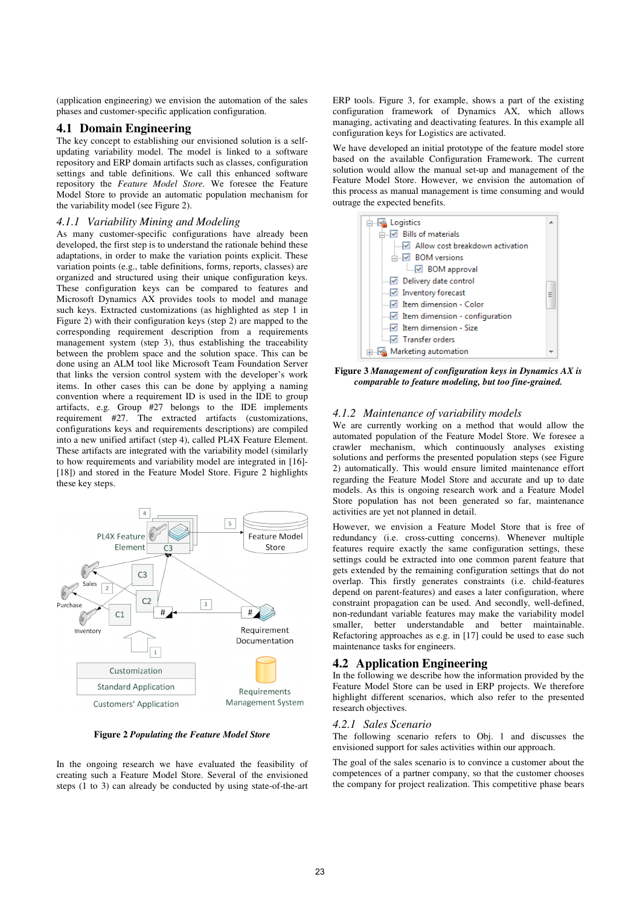(application engineering) we envision the automation of the sales phases and customer-specific application configuration.

#### **4.1 Domain Engineering**

The key concept to establishing our envisioned solution is a selfupdating variability model. The model is linked to a software repository and ERP domain artifacts such as classes, configuration settings and table definitions. We call this enhanced software repository the *Feature Model Store.* We foresee the Feature Model Store to provide an automatic population mechanism for the variability model (see Figure 2).

#### *4.1.1 Variability Mining and Modeling*

As many customer-specific configurations have already been developed, the first step is to understand the rationale behind these adaptations, in order to make the variation points explicit. These variation points (e.g., table definitions, forms, reports, classes) are organized and structured using their unique configuration keys. These configuration keys can be compared to features and Microsoft Dynamics AX provides tools to model and manage such keys. Extracted customizations (as highlighted as step 1 in Figure 2) with their configuration keys (step 2) are mapped to the corresponding requirement description from a requirements management system (step 3), thus establishing the traceability between the problem space and the solution space. This can be done using an ALM tool like Microsoft Team Foundation Server that links the version control system with the developer's work items. In other cases this can be done by applying a naming convention where a requirement ID is used in the IDE to group artifacts, e.g. Group #27 belongs to the IDE implements requirement #27. The extracted artifacts (customizations, configurations keys and requirements descriptions) are compiled into a new unified artifact (step 4), called PL4X Feature Element. These artifacts are integrated with the variability model (similarly to how requirements and variability model are integrated in [16]- [18]) and stored in the Feature Model Store. Figure 2 highlights these key steps.



**Figure 2** *Populating the Feature Model Store* 

In the ongoing research we have evaluated the feasibility of creating such a Feature Model Store. Several of the envisioned steps (1 to 3) can already be conducted by using state-of-the-art ERP tools. Figure 3, for example, shows a part of the existing configuration framework of Dynamics AX, which allows managing, activating and deactivating features. In this example all configuration keys for Logistics are activated.

We have developed an initial prototype of the feature model store based on the available Configuration Framework. The current solution would allow the manual set-up and management of the Feature Model Store. However, we envision the automation of this process as manual management is time consuming and would outrage the expected benefits.



**Figure 3** *Management of configuration keys in Dynamics AX is comparable to feature modeling, but too fine-grained.* 

#### *4.1.2 Maintenance of variability models*

We are currently working on a method that would allow the automated population of the Feature Model Store. We foresee a crawler mechanism, which continuously analyses existing solutions and performs the presented population steps (see Figure 2) automatically. This would ensure limited maintenance effort regarding the Feature Model Store and accurate and up to date models. As this is ongoing research work and a Feature Model Store population has not been generated so far, maintenance activities are yet not planned in detail.

However, we envision a Feature Model Store that is free of redundancy (i.e. cross-cutting concerns). Whenever multiple features require exactly the same configuration settings, these settings could be extracted into one common parent feature that gets extended by the remaining configuration settings that do not overlap. This firstly generates constraints (i.e. child-features depend on parent-features) and eases a later configuration, where constraint propagation can be used. And secondly, well-defined, non-redundant variable features may make the variability model smaller, better understandable and better maintainable. Refactoring approaches as e.g. in [17] could be used to ease such maintenance tasks for engineers.

## **4.2 Application Engineering**

In the following we describe how the information provided by the Feature Model Store can be used in ERP projects. We therefore highlight different scenarios, which also refer to the presented research objectives.

#### *4.2.1 Sales Scenario*

The following scenario refers to Obj. 1 and discusses the envisioned support for sales activities within our approach.

The goal of the sales scenario is to convince a customer about the competences of a partner company, so that the customer chooses the company for project realization. This competitive phase bears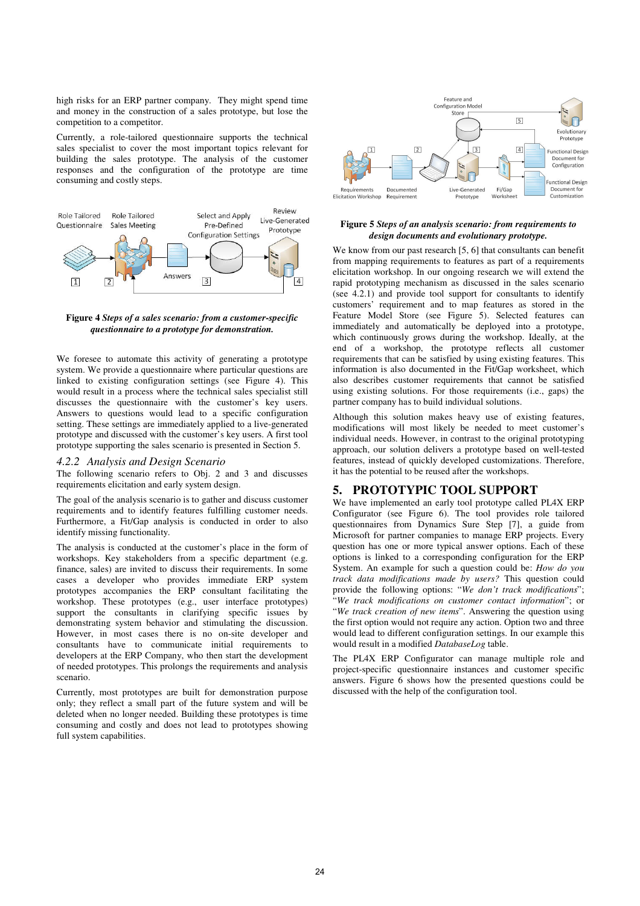high risks for an ERP partner company. They might spend time and money in the construction of a sales prototype, but lose the competition to a competitor.

Currently, a role-tailored questionnaire supports the technical sales specialist to cover the most important topics relevant for building the sales prototype. The analysis of the customer responses and the configuration of the prototype are time consuming and costly steps.



**Figure 4** *Steps of a sales scenario: from a customer-specific questionnaire to a prototype for demonstration.* 

We foresee to automate this activity of generating a prototype system. We provide a questionnaire where particular questions are linked to existing configuration settings (see Figure 4). This would result in a process where the technical sales specialist still discusses the questionnaire with the customer's key users. Answers to questions would lead to a specific configuration setting. These settings are immediately applied to a live-generated prototype and discussed with the customer's key users. A first tool prototype supporting the sales scenario is presented in Section 5.

#### *4.2.2 Analysis and Design Scenario*

The following scenario refers to Obj. 2 and 3 and discusses requirements elicitation and early system design.

The goal of the analysis scenario is to gather and discuss customer requirements and to identify features fulfilling customer needs. Furthermore, a Fit/Gap analysis is conducted in order to also identify missing functionality.

The analysis is conducted at the customer's place in the form of workshops. Key stakeholders from a specific department (e.g. finance, sales) are invited to discuss their requirements. In some cases a developer who provides immediate ERP system prototypes accompanies the ERP consultant facilitating the workshop. These prototypes (e.g., user interface prototypes) support the consultants in clarifying specific issues by demonstrating system behavior and stimulating the discussion. However, in most cases there is no on-site developer and consultants have to communicate initial requirements to developers at the ERP Company, who then start the development of needed prototypes. This prolongs the requirements and analysis scenario.

Currently, most prototypes are built for demonstration purpose only; they reflect a small part of the future system and will be deleted when no longer needed. Building these prototypes is time consuming and costly and does not lead to prototypes showing full system capabilities.



#### **Figure 5** *Steps of an analysis scenario: from requirements to design documents and evolutionary prototype.*

We know from our past research [5, 6] that consultants can benefit from mapping requirements to features as part of a requirements elicitation workshop. In our ongoing research we will extend the rapid prototyping mechanism as discussed in the sales scenario (see 4.2.1) and provide tool support for consultants to identify customers' requirement and to map features as stored in the Feature Model Store (see Figure 5). Selected features can immediately and automatically be deployed into a prototype, which continuously grows during the workshop. Ideally, at the end of a workshop, the prototype reflects all customer requirements that can be satisfied by using existing features. This information is also documented in the Fit/Gap worksheet, which also describes customer requirements that cannot be satisfied using existing solutions. For those requirements (i.e., gaps) the partner company has to build individual solutions.

Although this solution makes heavy use of existing features, modifications will most likely be needed to meet customer's individual needs. However, in contrast to the original prototyping approach, our solution delivers a prototype based on well-tested features, instead of quickly developed customizations. Therefore, it has the potential to be reused after the workshops.

## **5. PROTOTYPIC TOOL SUPPORT**

We have implemented an early tool prototype called PL4X ERP Configurator (see Figure 6). The tool provides role tailored questionnaires from Dynamics Sure Step [7], a guide from Microsoft for partner companies to manage ERP projects. Every question has one or more typical answer options. Each of these options is linked to a corresponding configuration for the ERP System. An example for such a question could be: *How do you track data modifications made by users?* This question could provide the following options: "*We don't track modifications*"; "*We track modifications on customer contact information*"; or "*We track creation of new items*". Answering the question using the first option would not require any action. Option two and three would lead to different configuration settings. In our example this would result in a modified *DatabaseLog* table.

The PL4X ERP Configurator can manage multiple role and project-specific questionnaire instances and customer specific answers. Figure 6 shows how the presented questions could be discussed with the help of the configuration tool.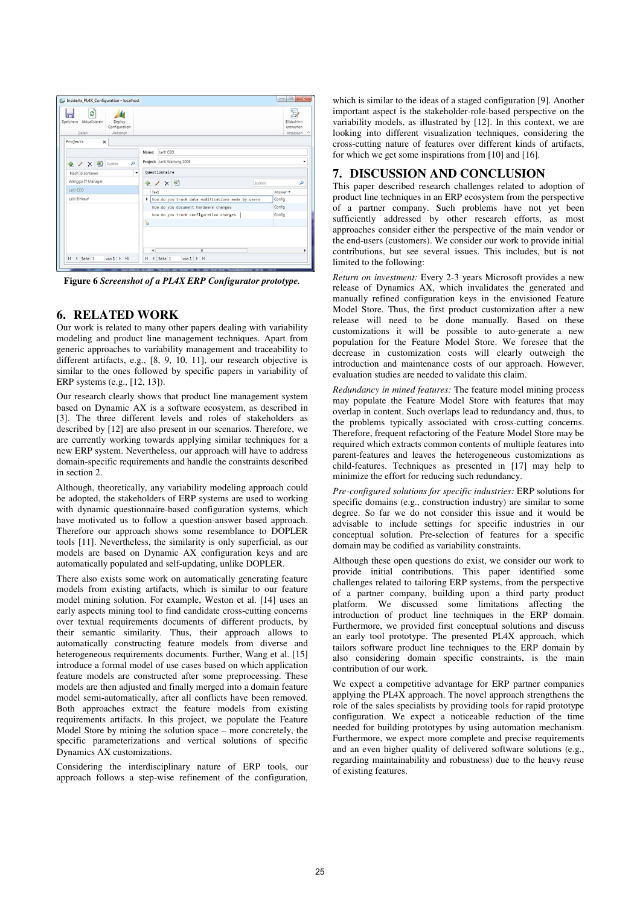| ø<br>Speichern Aktualisieren<br>Daten | Deploy<br>Configuration<br>Aktionen |                                                        |        | 霞<br>Bildschirm<br>entwerfen<br>Anpassen |
|---------------------------------------|-------------------------------------|--------------------------------------------------------|--------|------------------------------------------|
| Projects<br>$\times$                  |                                     |                                                        |        |                                          |
| $\times$ 3 Suchen<br>$+2$             | ٩                                   | Leiti CEO<br>Name:<br>Project: Leitl Wartung 2009      |        |                                          |
| Nach Id sortieren                     | ٠                                   | Ouestionnaire                                          |        |                                          |
| Wanggo IT Manager                     |                                     | +/×图                                                   | Suchen | Ω                                        |
| Leiti CFO                             |                                     | Text                                                   |        | Answer <b>v</b>                          |
| Leitl Einkauf                         |                                     | I how do you track data modifications made by users    |        | Config                                   |
|                                       |                                     | how do you document hardware changes                   |        | Config                                   |
|                                       |                                     | how do you track configuration changes<br>$\mathbf{R}$ |        | Config                                   |
|                                       |                                     |                                                        |        |                                          |

**Figure 6** *Screenshot of a PL4X ERP Configurator prototype.* 

## **6. RELATED WORK**

Our work is related to many other papers dealing with variability modeling and product line management techniques. Apart from generic approaches to variability management and traceability to different artifacts, e.g., [8, 9, 10, 11], our research objective is similar to the ones followed by specific papers in variability of ERP systems (e.g., [12, 13]).

Our research clearly shows that product line management system based on Dynamic AX is a software ecosystem, as described in [3]. The three different levels and roles of stakeholders as described by [12] are also present in our scenarios. Therefore, we are currently working towards applying similar techniques for a new ERP system. Nevertheless, our approach will have to address domain-specific requirements and handle the constraints described in section 2.

Although, theoretically, any variability modeling approach could be adopted, the stakeholders of ERP systems are used to working with dynamic questionnaire-based configuration systems, which have motivated us to follow a question-answer based approach. Therefore our approach shows some resemblance to DOPLER tools [11]. Nevertheless, the similarity is only superficial, as our models are based on Dynamic AX configuration keys and are automatically populated and self-updating, unlike DOPLER.

There also exists some work on automatically generating feature models from existing artifacts, which is similar to our feature model mining solution. For example, Weston et al. [14] uses an early aspects mining tool to find candidate cross-cutting concerns over textual requirements documents of different products, by their semantic similarity. Thus, their approach allows to automatically constructing feature models from diverse and heterogeneous requirements documents. Further, Wang et al. [15] introduce a formal model of use cases based on which application feature models are constructed after some preprocessing. These models are then adjusted and finally merged into a domain feature model semi-automatically, after all conflicts have been removed. Both approaches extract the feature models from existing requirements artifacts. In this project, we populate the Feature Model Store by mining the solution space – more concretely, the specific parameterizations and vertical solutions of specific Dynamics AX customizations.

Considering the interdisciplinary nature of ERP tools, our approach follows a step-wise refinement of the configuration,

which is similar to the ideas of a staged configuration [9]. Another important aspect is the stakeholder-role-based perspective on the variability models, as illustrated by [12]. In this context, we are looking into different visualization techniques, considering the cross-cutting nature of features over different kinds of artifacts, for which we get some inspirations from [10] and [16].

## **7. DISCUSSION AND CONCLUSION**

This paper described research challenges related to adoption of product line techniques in an ERP ecosystem from the perspective of a partner company. Such problems have not yet been sufficiently addressed by other research efforts, as most approaches consider either the perspective of the main vendor or the end-users (customers). We consider our work to provide initial contributions, but see several issues. This includes, but is not limited to the following:

*Return on investment:* Every 2-3 years Microsoft provides a new release of Dynamics AX, which invalidates the generated and manually refined configuration keys in the envisioned Feature Model Store. Thus, the first product customization after a new release will need to be done manually. Based on these customizations it will be possible to auto-generate a new population for the Feature Model Store. We foresee that the decrease in customization costs will clearly outweigh the introduction and maintenance costs of our approach. However, evaluation studies are needed to validate this claim.

*Redundancy in mined features:* The feature model mining process may populate the Feature Model Store with features that may overlap in content. Such overlaps lead to redundancy and, thus, to the problems typically associated with cross-cutting concerns. Therefore, frequent refactoring of the Feature Model Store may be required which extracts common contents of multiple features into parent-features and leaves the heterogeneous customizations as child-features. Techniques as presented in [17] may help to minimize the effort for reducing such redundancy.

*Pre-configured solutions for specific industries:* ERP solutions for specific domains (e.g., construction industry) are similar to some degree. So far we do not consider this issue and it would be advisable to include settings for specific industries in our conceptual solution. Pre-selection of features for a specific domain may be codified as variability constraints.

Although these open questions do exist, we consider our work to provide initial contributions. This paper identified some challenges related to tailoring ERP systems, from the perspective of a partner company, building upon a third party product platform. We discussed some limitations affecting the introduction of product line techniques in the ERP domain. Furthermore, we provided first conceptual solutions and discuss an early tool prototype. The presented PL4X approach, which tailors software product line techniques to the ERP domain by also considering domain specific constraints, is the main contribution of our work.

We expect a competitive advantage for ERP partner companies applying the PL4X approach. The novel approach strengthens the role of the sales specialists by providing tools for rapid prototype configuration. We expect a noticeable reduction of the time needed for building prototypes by using automation mechanism. Furthermore, we expect more complete and precise requirements and an even higher quality of delivered software solutions (e.g., regarding maintainability and robustness) due to the heavy reuse of existing features.